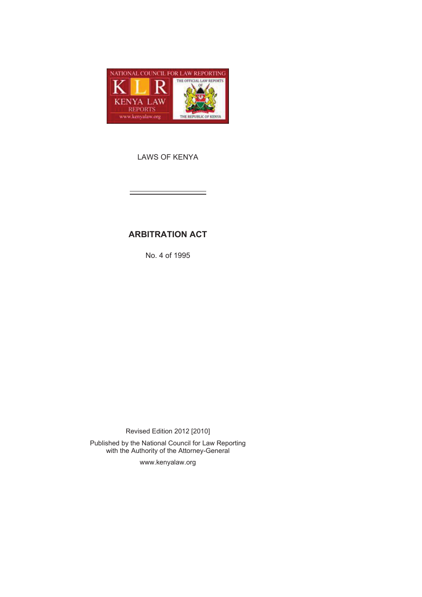

LAWS OF KENYA

# **ARBITRATION ACT**

No. 4 of 1995

Revised Edition 2012 [2010] Published by the National Council for Law Reporting with the Authority of the Attorney-General

www.kenyalaw.org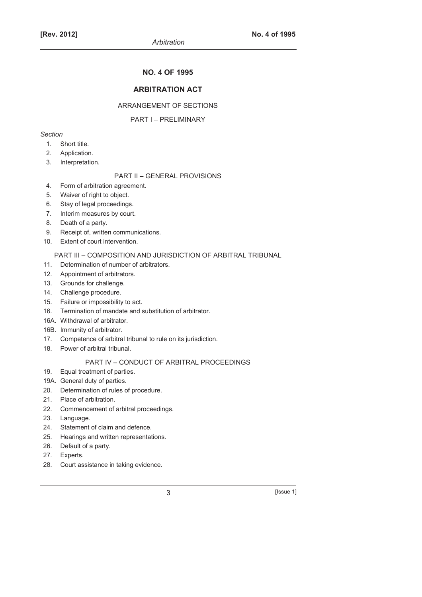# **NO. 4 OF 1995**

# **ARBITRATION ACT**

## ARRANGEMENT OF SECTIONS

# PART I – PRELIMINARY

# *Section*

- 1. Short title.
- 2. Application.
- 3. Interpretation.

# PART II – GENERAL PROVISIONS

- 4. Form of arbitration agreement.
- 5. Waiver of right to object.
- 6. Stay of legal proceedings.
- 7. Interim measures by court.
- 8. Death of a party.
- 9. Receipt of, written communications.
- 10. Extent of court intervention.

# PART III – COMPOSITION AND JURISDICTION OF ARBITRAL TRIBUNAL

- 11. Determination of number of arbitrators.
- 12. Appointment of arbitrators.
- 13. Grounds for challenge.
- 14. Challenge procedure.
- 15. Failure or impossibility to act.
- 16. Termination of mandate and substitution of arbitrator.
- 16A. Withdrawal of arbitrator.
- 16B. Immunity of arbitrator.
- 17. Competence of arbitral tribunal to rule on its jurisdiction.
- 18. Power of arbitral tribunal.

# PART IV – CONDUCT OF ARBITRAL PROCEEDINGS

- 19. Equal treatment of parties.
- 19A. General duty of parties.
- 20. Determination of rules of procedure.
- 21. Place of arbitration.
- 22. Commencement of arbitral proceedings.
- 23. Language.
- 24. Statement of claim and defence.
- 25. Hearings and written representations.
- 26. Default of a party.
- 27. Experts.
- 28. Court assistance in taking evidence.

 $3$  [Issue 1]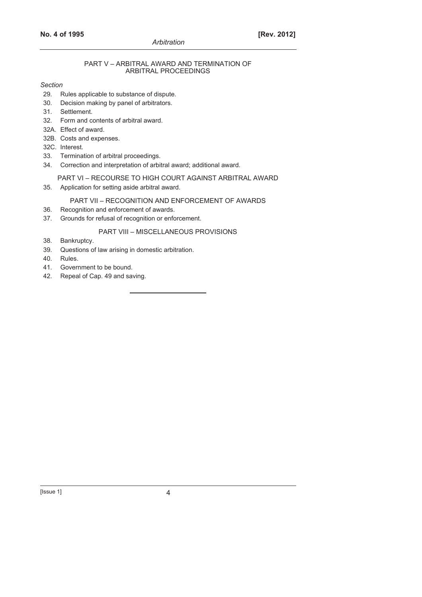#### PART V – ARBITRAL AWARD AND TERMINATION OF ARBITRAL PROCEEDINGS

#### *Section*

- 29. Rules applicable to substance of dispute.
- 30. Decision making by panel of arbitrators.
- 31. Settlement.
- 32. Form and contents of arbitral award.
- 32A. Effect of award.
- 32B. Costs and expenses.
- 32C. Interest.
- 33. Termination of arbitral proceedings.
- 34. Correction and interpretation of arbitral award; additional award.

PART VI – RECOURSE TO HIGH COURT AGAINST ARBITRAL AWARD

35. Application for setting aside arbitral award.

PART VII – RECOGNITION AND ENFORCEMENT OF AWARDS

- 36. Recognition and enforcement of awards.
- 37. Grounds for refusal of recognition or enforcement.

### PART VIII – MISCELLANEOUS PROVISIONS

- 38. Bankruptcy.
- 39. Questions of law arising in domestic arbitration.
- 40. Rules.
- 41. Government to be bound.
- 42. Repeal of Cap. 49 and saving.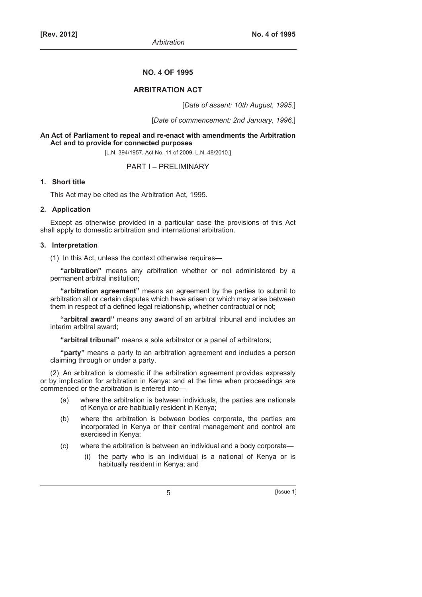#### **NO. 4 OF 1995**

# **ARBITRATION ACT**

[*Date of assent: 10th August, 1995.*]

[*Date of commencement: 2nd January, 1996*.]

# **An Act of Parliament to repeal and re-enact with amendments the Arbitration Act and to provide for connected purposes**

[L.N. 394/1957, Act No. 11 of 2009, L.N. 48/2010.]

#### PART I – PRELIMINARY

# **1. Short title**

This Act may be cited as the Arbitration Act, 1995.

#### **2. Application**

Except as otherwise provided in a particular case the provisions of this Act shall apply to domestic arbitration and international arbitration.

#### **3. Interpretation**

(1) In this Act, unless the context otherwise requires—

**"arbitration"** means any arbitration whether or not administered by a permanent arbitral institution;

**"arbitration agreement"** means an agreement by the parties to submit to arbitration all or certain disputes which have arisen or which may arise between them in respect of a defined legal relationship, whether contractual or not;

**"arbitral award"** means any award of an arbitral tribunal and includes an interim arbitral award;

**"arbitral tribunal"** means a sole arbitrator or a panel of arbitrators;

**"party"** means a party to an arbitration agreement and includes a person claiming through or under a party.

(2) An arbitration is domestic if the arbitration agreement provides expressly or by implication for arbitration in Kenya: and at the time when proceedings are commenced or the arbitration is entered into—

- (a) where the arbitration is between individuals, the parties are nationals of Kenya or are habitually resident in Kenya;
- (b) where the arbitration is between bodies corporate, the parties are incorporated in Kenya or their central management and control are exercised in Kenya;
- (c) where the arbitration is between an individual and a body corporate—
	- (i) the party who is an individual is a national of Kenya or is habitually resident in Kenya; and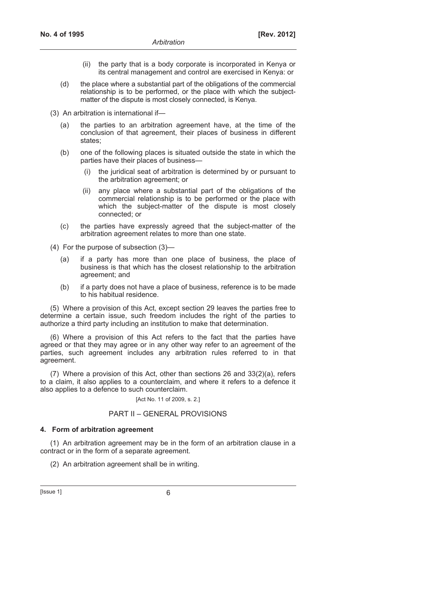- (ii) the party that is a body corporate is incorporated in Kenya or its central management and control are exercised in Kenya: or
- (d) the place where a substantial part of the obligations of the commercial relationship is to be performed, or the place with which the subjectmatter of the dispute is most closely connected, is Kenya.
- (3) An arbitration is international if—
	- (a) the parties to an arbitration agreement have, at the time of the conclusion of that agreement, their places of business in different states;
	- (b) one of the following places is situated outside the state in which the parties have their places of business
		- the juridical seat of arbitration is determined by or pursuant to the arbitration agreement; or
		- (ii) any place where a substantial part of the obligations of the commercial relationship is to be performed or the place with which the subject-matter of the dispute is most closely connected; or
	- (c) the parties have expressly agreed that the subject-matter of the arbitration agreement relates to more than one state.
- (4) For the purpose of subsection (3)—
	- (a) if a party has more than one place of business, the place of business is that which has the closest relationship to the arbitration agreement; and
	- (b) if a party does not have a place of business, reference is to be made to his habitual residence.

(5) Where a provision of this Act, except section 29 leaves the parties free to determine a certain issue, such freedom includes the right of the parties to authorize a third party including an institution to make that determination.

(6) Where a provision of this Act refers to the fact that the parties have agreed or that they may agree or in any other way refer to an agreement of the parties, such agreement includes any arbitration rules referred to in that agreement.

 $(7)$  Where a provision of this Act, other than sections 26 and  $33(2)(a)$ , refers to a claim, it also applies to a counterclaim, and where it refers to a defence it also applies to a defence to such counterclaim.

### [Act No. 11 of 2009, s. 2.]

# PART II – GENERAL PROVISIONS

# **4. Form of arbitration agreement**

(1) An arbitration agreement may be in the form of an arbitration clause in a contract or in the form of a separate agreement.

(2) An arbitration agreement shall be in writing.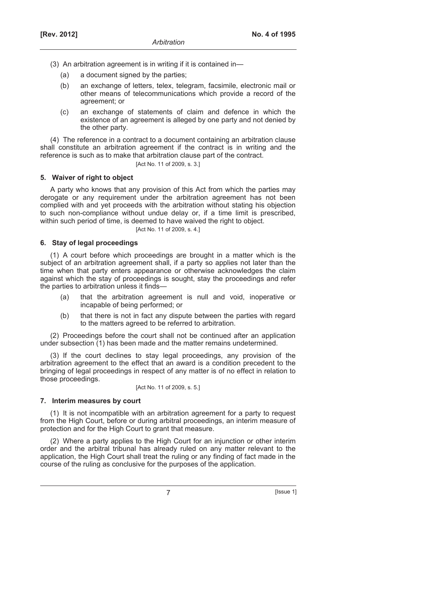- (3) An arbitration agreement is in writing if it is contained in—
	- (a) a document signed by the parties;
	- (b) an exchange of letters, telex, telegram, facsimile, electronic mail or other means of telecommunications which provide a record of the agreement; or
	- (c) an exchange of statements of claim and defence in which the existence of an agreement is alleged by one party and not denied by the other party.

(4) The reference in a contract to a document containing an arbitration clause shall constitute an arbitration agreement if the contract is in writing and the reference is such as to make that arbitration clause part of the contract.

```
[Act No. 11 of 2009, s. 3.]
```
# **5. Waiver of right to object**

A party who knows that any provision of this Act from which the parties may derogate or any requirement under the arbitration agreement has not been complied with and yet proceeds with the arbitration without stating his objection to such non-compliance without undue delay or, if a time limit is prescribed, within such period of time, is deemed to have waived the right to object.

[Act No. 11 of 2009, s. 4.]

# **6. Stay of legal proceedings**

(1) A court before which proceedings are brought in a matter which is the subject of an arbitration agreement shall, if a party so applies not later than the time when that party enters appearance or otherwise acknowledges the claim against which the stay of proceedings is sought, stay the proceedings and refer the parties to arbitration unless it finds—

- (a) that the arbitration agreement is null and void, inoperative or incapable of being performed; or
- (b) that there is not in fact any dispute between the parties with regard to the matters agreed to be referred to arbitration.

(2) Proceedings before the court shall not be continued after an application under subsection (1) has been made and the matter remains undetermined.

(3) If the court declines to stay legal proceedings, any provision of the arbitration agreement to the effect that an award is a condition precedent to the bringing of legal proceedings in respect of any matter is of no effect in relation to those proceedings.

[Act No. 11 of 2009, s. 5.]

# **7. Interim measures by court**

(1) It is not incompatible with an arbitration agreement for a party to request from the High Court, before or during arbitral proceedings, an interim measure of protection and for the High Court to grant that measure.

(2) Where a party applies to the High Court for an injunction or other interim order and the arbitral tribunal has already ruled on any matter relevant to the application, the High Court shall treat the ruling or any finding of fact made in the course of the ruling as conclusive for the purposes of the application.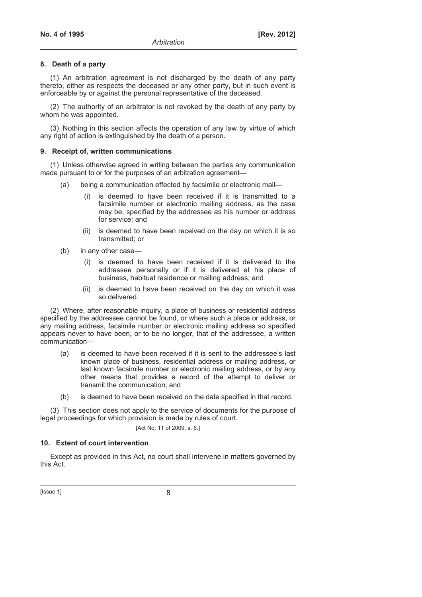#### **8. Death of a party**

(1) An arbitration agreement is not discharged by the death of any party thereto, either as respects the deceased or any other party, but in such event is enforceable by or against the personal representative of the deceased.

(2) The authority of an arbitrator is not revoked by the death of any party by whom he was appointed.

(3) Nothing in this section affects the operation of any law by virtue of which any right of action is extinguished by the death of a person.

#### **9. Receipt of, written communications**

(1) Unless otherwise agreed in writing between the parties any communication made pursuant to or for the purposes of an arbitration agreement—

- (a) being a communication effected by facsimile or electronic mail—
	- (i) is deemed to have been received if it is transmitted to a facsimile number or electronic mailing address, as the case may be, specified by the addressee as his number or address for service; and
	- (ii) is deemed to have been received on the day on which it is so transmitted; or
- (b) in any other case—
	- (i) is deemed to have been received if it is delivered to the addressee personally or if it is delivered at his place of business, habitual residence or mailing address; and
	- (ii) is deemed to have been received on the day on which it was so delivered.

(2) Where, after reasonable inquiry, a place of business or residential address specified by the addressee cannot be found, or where such a place or address, or any mailing address, facsimile number or electronic mailing address so specified appears never to have been, or to be no longer, that of the addressee, a written communication—

- (a) is deemed to have been received if it is sent to the addressee's last known place of business, residential address or mailing address, or last known facsimile number or electronic mailing address, or by any other means that provides a record of the attempt to deliver or transmit the communication; and
- (b) is deemed to have been received on the date specified in that record.

(3) This section does not apply to the service of documents for the purpose of legal proceedings for which provision is made by rules of court.

#### [Act No. 11 of 2009, s. 6.]

# **10. Extent of court intervention**

Except as provided in this Act, no court shall intervene in matters governed by this Act.

#### $[|$  Issue 1 $|$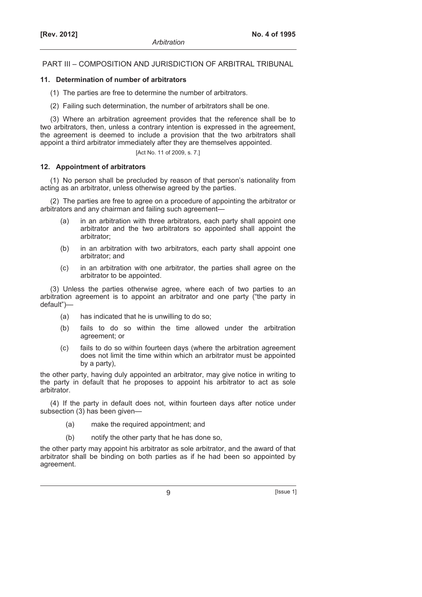# PART III – COMPOSITION AND JURISDICTION OF ARBITRAL TRIBUNAL

# **11. Determination of number of arbitrators**

- (1) The parties are free to determine the number of arbitrators.
- (2) Failing such determination, the number of arbitrators shall be one.

(3) Where an arbitration agreement provides that the reference shall be to two arbitrators, then, unless a contrary intention is expressed in the agreement, the agreement is deemed to include a provision that the two arbitrators shall appoint a third arbitrator immediately after they are themselves appointed.

[Act No. 11 of 2009, s. 7.]

### **12. Appointment of arbitrators**

(1) No person shall be precluded by reason of that person's nationality from acting as an arbitrator, unless otherwise agreed by the parties.

(2) The parties are free to agree on a procedure of appointing the arbitrator or arbitrators and any chairman and failing such agreement—

- (a) in an arbitration with three arbitrators, each party shall appoint one arbitrator and the two arbitrators so appointed shall appoint the arbitrator;
- (b) in an arbitration with two arbitrators, each party shall appoint one arbitrator; and
- (c) in an arbitration with one arbitrator, the parties shall agree on the arbitrator to be appointed.

(3) Unless the parties otherwise agree, where each of two parties to an arbitration agreement is to appoint an arbitrator and one party ("the party in default")—

- (a) has indicated that he is unwilling to do so;
- (b) fails to do so within the time allowed under the arbitration agreement; or
- (c) fails to do so within fourteen days (where the arbitration agreement does not limit the time within which an arbitrator must be appointed by a party),

the other party, having duly appointed an arbitrator, may give notice in writing to the party in default that he proposes to appoint his arbitrator to act as sole arbitrator.

(4) If the party in default does not, within fourteen days after notice under subsection (3) has been given—

- (a) make the required appointment; and
- (b) notify the other party that he has done so,

the other party may appoint his arbitrator as sole arbitrator, and the award of that arbitrator shall be binding on both parties as if he had been so appointed by agreement.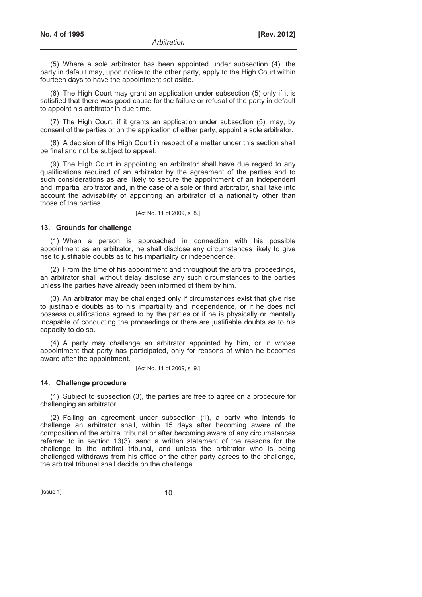(5) Where a sole arbitrator has been appointed under subsection (4), the party in default may, upon notice to the other party, apply to the High Court within fourteen days to have the appointment set aside.

(6) The High Court may grant an application under subsection (5) only if it is satisfied that there was good cause for the failure or refusal of the party in default to appoint his arbitrator in due time.

(7) The High Court, if it grants an application under subsection (5), may, by consent of the parties or on the application of either party, appoint a sole arbitrator.

(8) A decision of the High Court in respect of a matter under this section shall be final and not be subject to appeal.

(9) The High Court in appointing an arbitrator shall have due regard to any qualifications required of an arbitrator by the agreement of the parties and to such considerations as are likely to secure the appointment of an independent and impartial arbitrator and, in the case of a sole or third arbitrator, shall take into account the advisability of appointing an arbitrator of a nationality other than those of the parties.

[Act No. 11 of 2009, s. 8.]

### **13. Grounds for challenge**

(1) When a person is approached in connection with his possible appointment as an arbitrator, he shall disclose any circumstances likely to give rise to justifiable doubts as to his impartiality or independence.

(2) From the time of his appointment and throughout the arbitral proceedings, an arbitrator shall without delay disclose any such circumstances to the parties unless the parties have already been informed of them by him.

(3) An arbitrator may be challenged only if circumstances exist that give rise to justifiable doubts as to his impartiality and independence, or if he does not possess qualifications agreed to by the parties or if he is physically or mentally incapable of conducting the proceedings or there are justifiable doubts as to his capacity to do so.

(4) A party may challenge an arbitrator appointed by him, or in whose appointment that party has participated, only for reasons of which he becomes aware after the appointment.

[Act No. 11 of 2009, s. 9.]

# **14. Challenge procedure**

(1) Subject to subsection (3), the parties are free to agree on a procedure for challenging an arbitrator.

(2) Failing an agreement under subsection (1), a party who intends to challenge an arbitrator shall, within 15 days after becoming aware of the composition of the arbitral tribunal or after becoming aware of any circumstances referred to in section 13(3), send a written statement of the reasons for the challenge to the arbitral tribunal, and unless the arbitrator who is being challenged withdraws from his office or the other party agrees to the challenge, the arbitral tribunal shall decide on the challenge.

 $[|$ ssue 1 $]$  10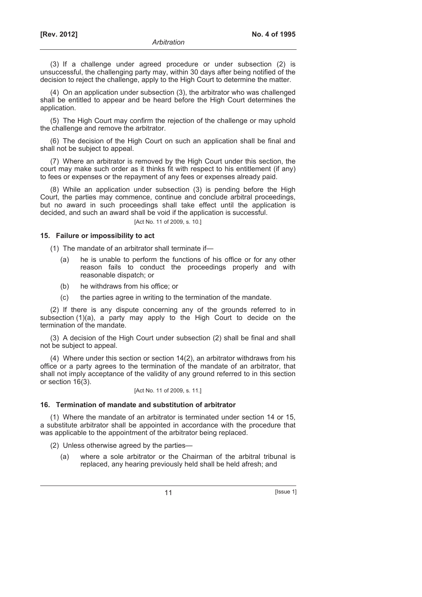(3) If a challenge under agreed procedure or under subsection (2) is unsuccessful, the challenging party may, within 30 days after being notified of the decision to reject the challenge, apply to the High Court to determine the matter.

(4) On an application under subsection (3), the arbitrator who was challenged shall be entitled to appear and be heard before the High Court determines the application.

(5) The High Court may confirm the rejection of the challenge or may uphold the challenge and remove the arbitrator.

(6) The decision of the High Court on such an application shall be final and shall not be subject to appeal.

(7) Where an arbitrator is removed by the High Court under this section, the court may make such order as it thinks fit with respect to his entitlement (if any) to fees or expenses or the repayment of any fees or expenses already paid.

(8) While an application under subsection (3) is pending before the High Court, the parties may commence, continue and conclude arbitral proceedings, but no award in such proceedings shall take effect until the application is decided, and such an award shall be void if the application is successful.

[Act No. 11 of 2009, s. 10.]

# **15. Failure or impossibility to act**

(1) The mandate of an arbitrator shall terminate if—

- (a) he is unable to perform the functions of his office or for any other reason fails to conduct the proceedings properly and with reasonable dispatch; or
- (b) he withdraws from his office; or
- (c) the parties agree in writing to the termination of the mandate.

(2) If there is any dispute concerning any of the grounds referred to in subsection (1)(a), a party may apply to the High Court to decide on the termination of the mandate.

(3) A decision of the High Court under subsection (2) shall be final and shall not be subject to appeal.

(4) Where under this section or section 14(2), an arbitrator withdraws from his office or a party agrees to the termination of the mandate of an arbitrator, that shall not imply acceptance of the validity of any ground referred to in this section or section 16(3).

## [Act No. 11 of 2009, s. 11.]

# **16. Termination of mandate and substitution of arbitrator**

(1) Where the mandate of an arbitrator is terminated under section 14 or 15, a substitute arbitrator shall be appointed in accordance with the procedure that was applicable to the appointment of the arbitrator being replaced.

(2) Unless otherwise agreed by the parties—

 (a) where a sole arbitrator or the Chairman of the arbitral tribunal is replaced, any hearing previously held shall be held afresh; and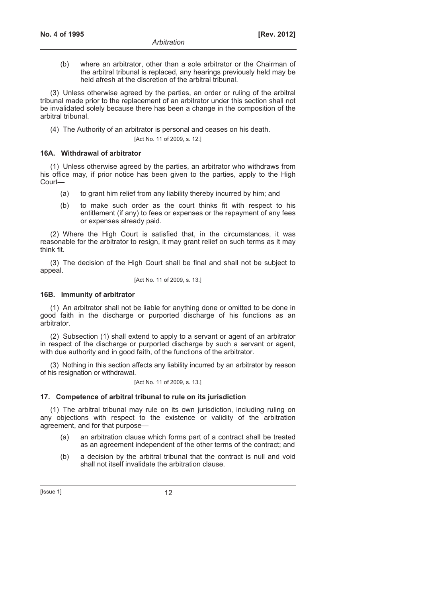(b) where an arbitrator, other than a sole arbitrator or the Chairman of the arbitral tribunal is replaced, any hearings previously held may be held afresh at the discretion of the arbitral tribunal.

(3) Unless otherwise agreed by the parties, an order or ruling of the arbitral tribunal made prior to the replacement of an arbitrator under this section shall not be invalidated solely because there has been a change in the composition of the arbitral tribunal.

(4) The Authority of an arbitrator is personal and ceases on his death.

[Act No. 11 of 2009, s. 12.]

# **16A. Withdrawal of arbitrator**

(1) Unless otherwise agreed by the parties, an arbitrator who withdraws from his office may, if prior notice has been given to the parties, apply to the High Court—

- (a) to grant him relief from any liability thereby incurred by him; and
- (b) to make such order as the court thinks fit with respect to his entitlement (if any) to fees or expenses or the repayment of any fees or expenses already paid.

(2) Where the High Court is satisfied that, in the circumstances, it was reasonable for the arbitrator to resign, it may grant relief on such terms as it may think fit.

(3) The decision of the High Court shall be final and shall not be subject to appeal.

[Act No. 11 of 2009, s. 13.]

# **16B. Immunity of arbitrator**

(1) An arbitrator shall not be liable for anything done or omitted to be done in good faith in the discharge or purported discharge of his functions as an arbitrator.

(2) Subsection (1) shall extend to apply to a servant or agent of an arbitrator in respect of the discharge or purported discharge by such a servant or agent, with due authority and in good faith, of the functions of the arbitrator.

(3) Nothing in this section affects any liability incurred by an arbitrator by reason of his resignation or withdrawal.

[Act No. 11 of 2009, s. 13.]

# **17. Competence of arbitral tribunal to rule on its jurisdiction**

(1) The arbitral tribunal may rule on its own jurisdiction, including ruling on any objections with respect to the existence or validity of the arbitration agreement, and for that purpose—

- (a) an arbitration clause which forms part of a contract shall be treated as an agreement independent of the other terms of the contract; and
- (b) a decision by the arbitral tribunal that the contract is null and void shall not itself invalidate the arbitration clause.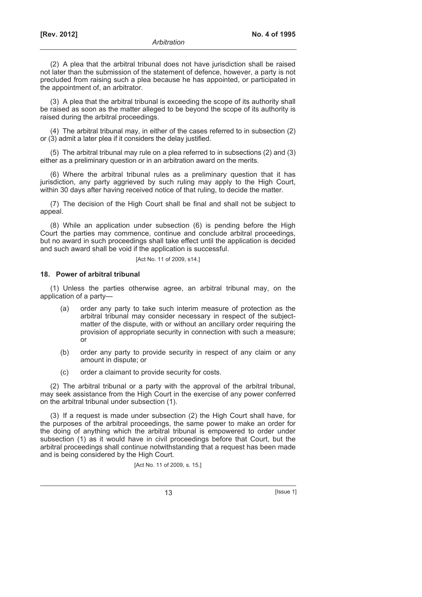(2) A plea that the arbitral tribunal does not have jurisdiction shall be raised not later than the submission of the statement of defence, however, a party is not precluded from raising such a plea because he has appointed, or participated in the appointment of, an arbitrator.

(3) A plea that the arbitral tribunal is exceeding the scope of its authority shall be raised as soon as the matter alleged to be beyond the scope of its authority is raised during the arbitral proceedings.

(4) The arbitral tribunal may, in either of the cases referred to in subsection (2) or (3) admit a later plea if it considers the delay justified.

(5) The arbitral tribunal may rule on a plea referred to in subsections (2) and (3) either as a preliminary question or in an arbitration award on the merits.

(6) Where the arbitral tribunal rules as a preliminary question that it has jurisdiction, any party aggrieved by such ruling may apply to the High Court, within 30 days after having received notice of that ruling, to decide the matter.

(7) The decision of the High Court shall be final and shall not be subject to appeal.

(8) While an application under subsection (6) is pending before the High Court the parties may commence, continue and conclude arbitral proceedings, but no award in such proceedings shall take effect until the application is decided and such award shall be void if the application is successful.

[Act No. 11 of 2009, s14.]

# **18. Power of arbitral tribunal**

(1) Unless the parties otherwise agree, an arbitral tribunal may, on the application of a party—

- (a) order any party to take such interim measure of protection as the arbitral tribunal may consider necessary in respect of the subjectmatter of the dispute, with or without an ancillary order requiring the provision of appropriate security in connection with such a measure; or
- (b) order any party to provide security in respect of any claim or any amount in dispute; or
- (c) order a claimant to provide security for costs.

(2) The arbitral tribunal or a party with the approval of the arbitral tribunal, may seek assistance from the High Court in the exercise of any power conferred on the arbitral tribunal under subsection (1).

(3) If a request is made under subsection (2) the High Court shall have, for the purposes of the arbitral proceedings, the same power to make an order for the doing of anything which the arbitral tribunal is empowered to order under subsection (1) as it would have in civil proceedings before that Court, but the arbitral proceedings shall continue notwithstanding that a request has been made and is being considered by the High Court.

[Act No. 11 of 2009, s. 15.]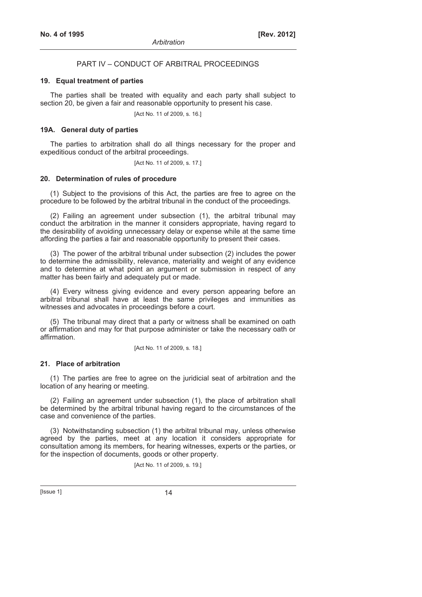#### PART IV – CONDUCT OF ARBITRAL PROCEEDINGS

#### **19. Equal treatment of parties**

The parties shall be treated with equality and each party shall subject to section 20, be given a fair and reasonable opportunity to present his case.

[Act No. 11 of 2009, s. 16.]

#### **19A. General duty of parties**

The parties to arbitration shall do all things necessary for the proper and expeditious conduct of the arbitral proceedings.

[Act No. 11 of 2009, s. 17.]

#### **20. Determination of rules of procedure**

(1) Subject to the provisions of this Act, the parties are free to agree on the procedure to be followed by the arbitral tribunal in the conduct of the proceedings.

(2) Failing an agreement under subsection (1), the arbitral tribunal may conduct the arbitration in the manner it considers appropriate, having regard to the desirability of avoiding unnecessary delay or expense while at the same time affording the parties a fair and reasonable opportunity to present their cases.

(3) The power of the arbitral tribunal under subsection (2) includes the power to determine the admissibility, relevance, materiality and weight of any evidence and to determine at what point an argument or submission in respect of any matter has been fairly and adequately put or made.

(4) Every witness giving evidence and every person appearing before an arbitral tribunal shall have at least the same privileges and immunities as witnesses and advocates in proceedings before a court.

(5) The tribunal may direct that a party or witness shall be examined on oath or affirmation and may for that purpose administer or take the necessary oath or affirmation.

[Act No. 11 of 2009, s. 18.]

#### **21. Place of arbitration**

(1) The parties are free to agree on the juridicial seat of arbitration and the location of any hearing or meeting.

(2) Failing an agreement under subsection (1), the place of arbitration shall be determined by the arbitral tribunal having regard to the circumstances of the case and convenience of the parties.

(3) Notwithstanding subsection (1) the arbitral tribunal may, unless otherwise agreed by the parties, meet at any location it considers appropriate for consultation among its members, for hearing witnesses, experts or the parties, or for the inspection of documents, goods or other property.

[Act No. 11 of 2009, s. 19.]

 $[|$ Ssue 1 $|$  14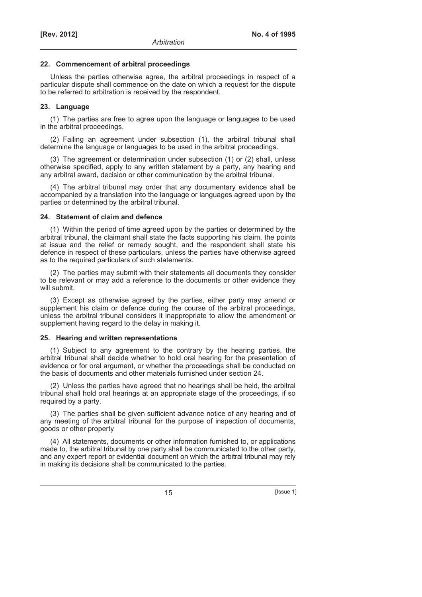# **22. Commencement of arbitral proceedings**

Unless the parties otherwise agree, the arbitral proceedings in respect of a particular dispute shall commence on the date on which a request for the dispute to be referred to arbitration is received by the respondent.

# **23. Language**

(1) The parties are free to agree upon the language or languages to be used in the arbitral proceedings.

(2) Failing an agreement under subsection (1), the arbitral tribunal shall determine the language or languages to be used in the arbitral proceedings.

(3) The agreement or determination under subsection (1) or (2) shall, unless otherwise specified, apply to any written statement by a party, any hearing and any arbitral award, decision or other communication by the arbitral tribunal.

(4) The arbitral tribunal may order that any documentary evidence shall be accompanied by a translation into the language or languages agreed upon by the parties or determined by the arbitral tribunal.

# **24. Statement of claim and defence**

(1) Within the period of time agreed upon by the parties or determined by the arbitral tribunal, the claimant shall state the facts supporting his claim, the points at issue and the relief or remedy sought, and the respondent shall state his defence in respect of these particulars, unless the parties have otherwise agreed as to the required particulars of such statements.

(2) The parties may submit with their statements all documents they consider to be relevant or may add a reference to the documents or other evidence they will submit.

(3) Except as otherwise agreed by the parties, either party may amend or supplement his claim or defence during the course of the arbitral proceedings, unless the arbitral tribunal considers it inappropriate to allow the amendment or supplement having regard to the delay in making it.

# **25. Hearing and written representations**

(1) Subject to any agreement to the contrary by the hearing parties, the arbitral tribunal shall decide whether to hold oral hearing for the presentation of evidence or for oral argument, or whether the proceedings shall be conducted on the basis of documents and other materials furnished under section 24.

(2) Unless the parties have agreed that no hearings shall be held, the arbitral tribunal shall hold oral hearings at an appropriate stage of the proceedings, if so required by a party.

(3) The parties shall be given sufficient advance notice of any hearing and of any meeting of the arbitral tribunal for the purpose of inspection of documents, goods or other property

(4) All statements, documents or other information furnished to, or applications made to, the arbitral tribunal by one party shall be communicated to the other party, and any expert report or evidential document on which the arbitral tribunal may rely in making its decisions shall be communicated to the parties.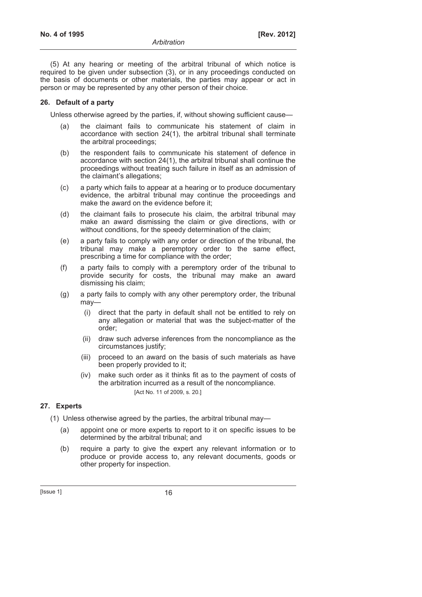(5) At any hearing or meeting of the arbitral tribunal of which notice is required to be given under subsection (3), or in any proceedings conducted on the basis of documents or other materials, the parties may appear or act in person or may be represented by any other person of their choice.

# **26. Default of a party**

Unless otherwise agreed by the parties, if, without showing sufficient cause—

- (a) the claimant fails to communicate his statement of claim in accordance with section 24(1), the arbitral tribunal shall terminate the arbitral proceedings;
- (b) the respondent fails to communicate his statement of defence in accordance with section 24(1), the arbitral tribunal shall continue the proceedings without treating such failure in itself as an admission of the claimant's allegations;
- (c) a party which fails to appear at a hearing or to produce documentary evidence, the arbitral tribunal may continue the proceedings and make the award on the evidence before it;
- (d) the claimant fails to prosecute his claim, the arbitral tribunal may make an award dismissing the claim or give directions, with or without conditions, for the speedy determination of the claim;
- (e) a party fails to comply with any order or direction of the tribunal, the tribunal may make a peremptory order to the same effect, prescribing a time for compliance with the order;
- (f) a party fails to comply with a peremptory order of the tribunal to provide security for costs, the tribunal may make an award dismissing his claim;
- (g) a party fails to comply with any other peremptory order, the tribunal may—
	- (i) direct that the party in default shall not be entitled to rely on any allegation or material that was the subject-matter of the order;
	- (ii) draw such adverse inferences from the noncompliance as the circumstances justify;
	- (iii) proceed to an award on the basis of such materials as have been properly provided to it;
	- (iv) make such order as it thinks fit as to the payment of costs of the arbitration incurred as a result of the noncompliance. [Act No. 11 of 2009, s. 20.]

# **27. Experts**

- (1) Unless otherwise agreed by the parties, the arbitral tribunal may—
	- (a) appoint one or more experts to report to it on specific issues to be determined by the arbitral tribunal; and
	- (b) require a party to give the expert any relevant information or to produce or provide access to, any relevant documents, goods or other property for inspection.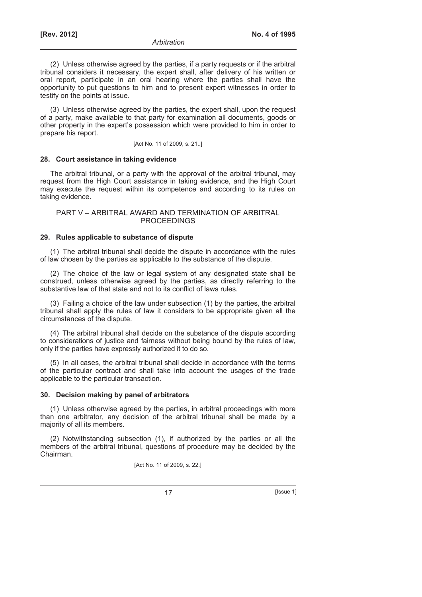(2) Unless otherwise agreed by the parties, if a party requests or if the arbitral tribunal considers it necessary, the expert shall, after delivery of his written or oral report, participate in an oral hearing where the parties shall have the opportunity to put questions to him and to present expert witnesses in order to testify on the points at issue.

(3) Unless otherwise agreed by the parties, the expert shall, upon the request of a party, make available to that party for examination all documents, goods or other property in the expert's possession which were provided to him in order to prepare his report.

[Act No. 11 of 2009, s. 21..]

# **28. Court assistance in taking evidence**

The arbitral tribunal, or a party with the approval of the arbitral tribunal, may request from the High Court assistance in taking evidence, and the High Court may execute the request within its competence and according to its rules on taking evidence.

## PART V – ARBITRAL AWARD AND TERMINATION OF ARBITRAL PROCEEDINGS

# **29. Rules applicable to substance of dispute**

(1) The arbitral tribunal shall decide the dispute in accordance with the rules of law chosen by the parties as applicable to the substance of the dispute.

(2) The choice of the law or legal system of any designated state shall be construed, unless otherwise agreed by the parties, as directly referring to the substantive law of that state and not to its conflict of laws rules.

(3) Failing a choice of the law under subsection (1) by the parties, the arbitral tribunal shall apply the rules of law it considers to be appropriate given all the circumstances of the dispute.

(4) The arbitral tribunal shall decide on the substance of the dispute according to considerations of justice and fairness without being bound by the rules of law, only if the parties have expressly authorized it to do so.

(5) In all cases, the arbitral tribunal shall decide in accordance with the terms of the particular contract and shall take into account the usages of the trade applicable to the particular transaction.

# **30. Decision making by panel of arbitrators**

(1) Unless otherwise agreed by the parties, in arbitral proceedings with more than one arbitrator, any decision of the arbitral tribunal shall be made by a majority of all its members.

(2) Notwithstanding subsection (1), if authorized by the parties or all the members of the arbitral tribunal, questions of procedure may be decided by the Chairman.

[Act No. 11 of 2009, s. 22.]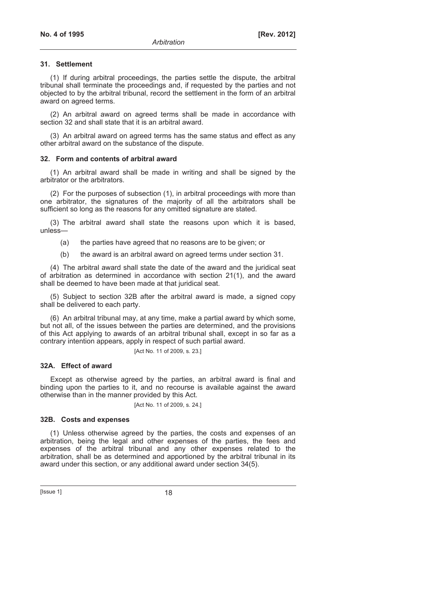#### **31. Settlement**

(1) If during arbitral proceedings, the parties settle the dispute, the arbitral tribunal shall terminate the proceedings and, if requested by the parties and not objected to by the arbitral tribunal, record the settlement in the form of an arbitral award on agreed terms.

(2) An arbitral award on agreed terms shall be made in accordance with section 32 and shall state that it is an arbitral award.

(3) An arbitral award on agreed terms has the same status and effect as any other arbitral award on the substance of the dispute.

#### **32. Form and contents of arbitral award**

(1) An arbitral award shall be made in writing and shall be signed by the arbitrator or the arbitrators.

(2) For the purposes of subsection (1), in arbitral proceedings with more than one arbitrator, the signatures of the majority of all the arbitrators shall be sufficient so long as the reasons for any omitted signature are stated.

(3) The arbitral award shall state the reasons upon which it is based, unless—

(a) the parties have agreed that no reasons are to be given; or

(b) the award is an arbitral award on agreed terms under section 31.

(4) The arbitral award shall state the date of the award and the juridical seat of arbitration as determined in accordance with section 21(1), and the award shall be deemed to have been made at that juridical seat.

(5) Subject to section 32B after the arbitral award is made, a signed copy shall be delivered to each party.

(6) An arbitral tribunal may, at any time, make a partial award by which some, but not all, of the issues between the parties are determined, and the provisions of this Act applying to awards of an arbitral tribunal shall, except in so far as a contrary intention appears, apply in respect of such partial award.

[Act No. 11 of 2009, s. 23.]

# **32A. Effect of award**

Except as otherwise agreed by the parties, an arbitral award is final and binding upon the parties to it, and no recourse is available against the award otherwise than in the manner provided by this Act.

[Act No. 11 of 2009, s. 24.]

#### **32B. Costs and expenses**

(1) Unless otherwise agreed by the parties, the costs and expenses of an arbitration, being the legal and other expenses of the parties, the fees and expenses of the arbitral tribunal and any other expenses related to the arbitration, shall be as determined and apportioned by the arbitral tribunal in its award under this section, or any additional award under section 34(5).

 $[|$ ssue 1 $]$  18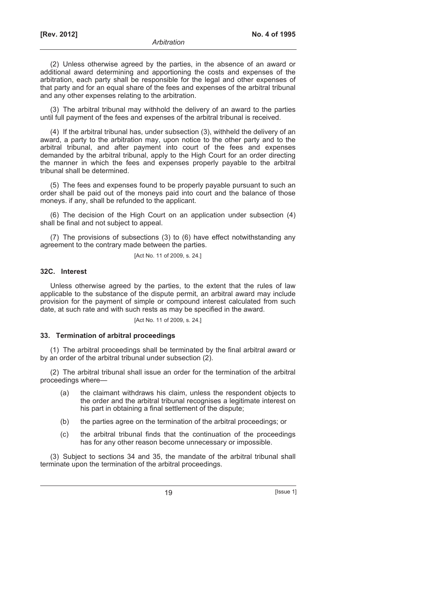(2) Unless otherwise agreed by the parties, in the absence of an award or additional award determining and apportioning the costs and expenses of the arbitration, each party shall be responsible for the legal and other expenses of that party and for an equal share of the fees and expenses of the arbitral tribunal and any other expenses relating to the arbitration.

(3) The arbitral tribunal may withhold the delivery of an award to the parties until full payment of the fees and expenses of the arbitral tribunal is received.

(4) If the arbitral tribunal has, under subsection (3), withheld the delivery of an award, a party to the arbitration may, upon notice to the other party and to the arbitral tribunal, and after payment into court of the fees and expenses demanded by the arbitral tribunal, apply to the High Court for an order directing the manner in which the fees and expenses properly payable to the arbitral tribunal shall be determined.

(5) The fees and expenses found to be properly payable pursuant to such an order shall be paid out of the moneys paid into court and the balance of those moneys. if any, shall be refunded to the applicant.

(6) The decision of the High Court on an application under subsection (4) shall be final and not subject to appeal.

(7) The provisions of subsections (3) to (6) have effect notwithstanding any agreement to the contrary made between the parties.

[Act No. 11 of 2009, s. 24.]

### **32C. Interest**

Unless otherwise agreed by the parties, to the extent that the rules of law applicable to the substance of the dispute permit, an arbitral award may include provision for the payment of simple or compound interest calculated from such date, at such rate and with such rests as may be specified in the award.

[Act No. 11 of 2009, s. 24.]

# **33. Termination of arbitral proceedings**

(1) The arbitral proceedings shall be terminated by the final arbitral award or by an order of the arbitral tribunal under subsection (2).

(2) The arbitral tribunal shall issue an order for the termination of the arbitral proceedings where—

- (a) the claimant withdraws his claim, unless the respondent objects to the order and the arbitral tribunal recognises a legitimate interest on his part in obtaining a final settlement of the dispute;
- (b) the parties agree on the termination of the arbitral proceedings; or
- (c) the arbitral tribunal finds that the continuation of the proceedings has for any other reason become unnecessary or impossible.

(3) Subject to sections 34 and 35, the mandate of the arbitral tribunal shall terminate upon the termination of the arbitral proceedings.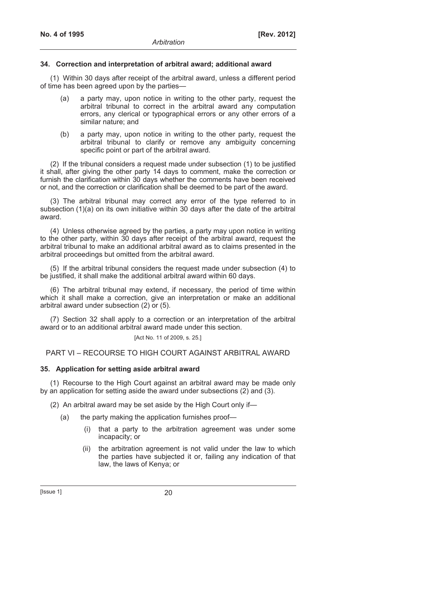# **34. Correction and interpretation of arbitral award; additional award**

(1) Within 30 days after receipt of the arbitral award, unless a different period of time has been agreed upon by the parties-

- (a) a party may, upon notice in writing to the other party, request the arbitral tribunal to correct in the arbitral award any computation errors, any clerical or typographical errors or any other errors of a similar nature; and
- (b) a party may, upon notice in writing to the other party, request the arbitral tribunal to clarify or remove any ambiguity concerning specific point or part of the arbitral award.

(2) If the tribunal considers a request made under subsection (1) to be justified it shall, after giving the other party 14 days to comment, make the correction or furnish the clarification within 30 days whether the comments have been received or not, and the correction or clarification shall be deemed to be part of the award.

(3) The arbitral tribunal may correct any error of the type referred to in subsection (1)(a) on its own initiative within 30 days after the date of the arbitral award.

(4) Unless otherwise agreed by the parties, a party may upon notice in writing to the other party, within 30 days after receipt of the arbitral award, request the arbitral tribunal to make an additional arbitral award as to claims presented in the arbitral proceedings but omitted from the arbitral award.

(5) If the arbitral tribunal considers the request made under subsection (4) to be justified, it shall make the additional arbitral award within 60 days.

(6) The arbitral tribunal may extend, if necessary, the period of time within which it shall make a correction, give an interpretation or make an additional arbitral award under subsection (2) or (5).

(7) Section 32 shall apply to a correction or an interpretation of the arbitral award or to an additional arbitral award made under this section.

[Act No. 11 of 2009, s. 25.]

PART VI – RECOURSE TO HIGH COURT AGAINST ARBITRAL AWARD

# **35. Application for setting aside arbitral award**

(1) Recourse to the High Court against an arbitral award may be made only by an application for setting aside the award under subsections (2) and (3).

(2) An arbitral award may be set aside by the High Court only if—

- (a) the party making the application furnishes proof—
	- (i) that a party to the arbitration agreement was under some incapacity; or
	- (ii) the arbitration agreement is not valid under the law to which the parties have subjected it or, failing any indication of that law, the laws of Kenya; or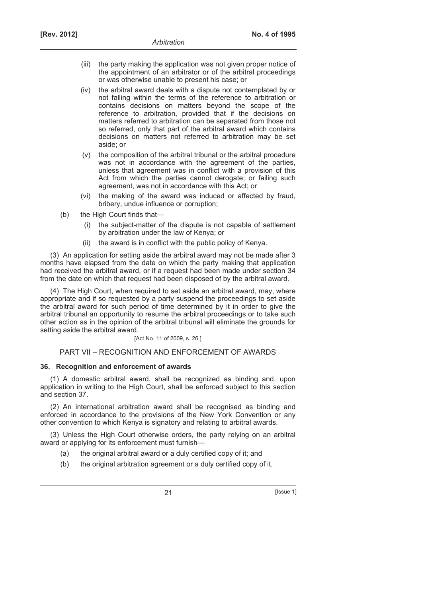- (iii) the party making the application was not given proper notice of the appointment of an arbitrator or of the arbitral proceedings or was otherwise unable to present his case; or
- (iv) the arbitral award deals with a dispute not contemplated by or not falling within the terms of the reference to arbitration or contains decisions on matters beyond the scope of the reference to arbitration, provided that if the decisions on matters referred to arbitration can be separated from those not so referred, only that part of the arbitral award which contains decisions on matters not referred to arbitration may be set aside; or
- (v) the composition of the arbitral tribunal or the arbitral procedure was not in accordance with the agreement of the parties, unless that agreement was in conflict with a provision of this Act from which the parties cannot derogate; or failing such agreement, was not in accordance with this Act; or
- (vi) the making of the award was induced or affected by fraud, bribery, undue influence or corruption;
- (b) the High Court finds that—
	- (i) the subject-matter of the dispute is not capable of settlement by arbitration under the law of Kenya; or
	- (ii) the award is in conflict with the public policy of Kenya.

(3) An application for setting aside the arbitral award may not be made after 3 months have elapsed from the date on which the party making that application had received the arbitral award, or if a request had been made under section 34 from the date on which that request had been disposed of by the arbitral award.

(4) The High Court, when required to set aside an arbitral award, may, where appropriate and if so requested by a party suspend the proceedings to set aside the arbitral award for such period of time determined by it in order to give the arbitral tribunal an opportunity to resume the arbitral proceedings or to take such other action as in the opinion of the arbitral tribunal will eliminate the grounds for setting aside the arbitral award.

#### [Act No. 11 of 2009, s. 26.]

# PART VII – RECOGNITION AND ENFORCEMENT OF AWARDS

# **36. Recognition and enforcement of awards**

(1) A domestic arbitral award, shall be recognized as binding and, upon application in writing to the High Court, shall be enforced subject to this section and section 37.

(2) An international arbitration award shall be recognised as binding and enforced in accordance to the provisions of the New York Convention or any other convention to which Kenya is signatory and relating to arbitral awards.

(3) Unless the High Court otherwise orders, the party relying on an arbitral award or applying for its enforcement must furnish—

- (a) the original arbitral award or a duly certified copy of it; and
- (b) the original arbitration agreement or a duly certified copy of it.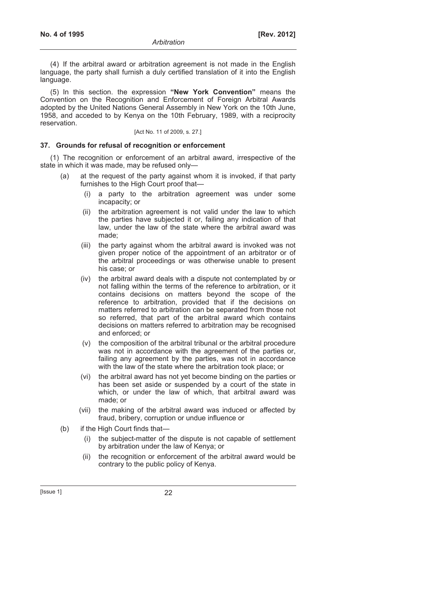(4) If the arbitral award or arbitration agreement is not made in the English language, the party shall furnish a duly certified translation of it into the English language.

(5) In this section. the expression **"New York Convention"** means the Convention on the Recognition and Enforcement of Foreign Arbitral Awards adopted by the United Nations General Assembly in New York on the 10th June, 1958, and acceded to by Kenya on the 10th February, 1989, with a reciprocity reservation.

#### [Act No. 11 of 2009, s. 27.]

# **37. Grounds for refusal of recognition or enforcement**

(1) The recognition or enforcement of an arbitral award, irrespective of the state in which it was made, may be refused only—

- (a) at the request of the party against whom it is invoked, if that party furnishes to the High Court proof that—
	- (i) a party to the arbitration agreement was under some incapacity; or
	- (ii) the arbitration agreement is not valid under the law to which the parties have subjected it or, failing any indication of that law, under the law of the state where the arbitral award was made;
	- (iii) the party against whom the arbitral award is invoked was not given proper notice of the appointment of an arbitrator or of the arbitral proceedings or was otherwise unable to present his case; or
	- (iv) the arbitral award deals with a dispute not contemplated by or not falling within the terms of the reference to arbitration, or it contains decisions on matters beyond the scope of the reference to arbitration, provided that if the decisions on matters referred to arbitration can be separated from those not so referred, that part of the arbitral award which contains decisions on matters referred to arbitration may be recognised and enforced; or
	- (v) the composition of the arbitral tribunal or the arbitral procedure was not in accordance with the agreement of the parties or, failing any agreement by the parties, was not in accordance with the law of the state where the arbitration took place; or
	- (vi) the arbitral award has not yet become binding on the parties or has been set aside or suspended by a court of the state in which, or under the law of which, that arbitral award was made; or
	- (vii) the making of the arbitral award was induced or affected by fraud, bribery, corruption or undue influence or
- (b) if the High Court finds that—
	- (i) the subject-matter of the dispute is not capable of settlement by arbitration under the law of Kenya; or
	- (ii) the recognition or enforcement of the arbitral award would be contrary to the public policy of Kenya.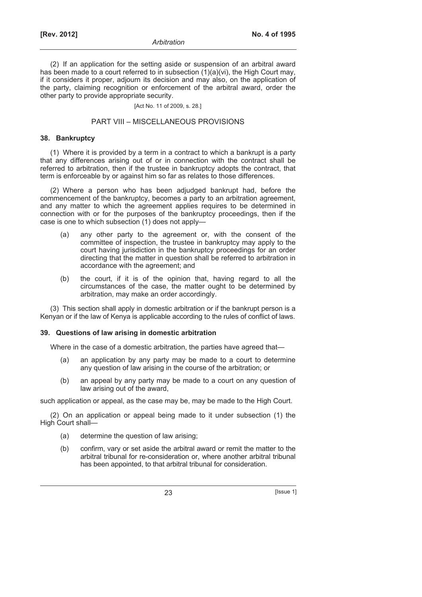(2) If an application for the setting aside or suspension of an arbitral award has been made to a court referred to in subsection  $(1)(a)(vi)$ , the High Court may, if it considers it proper, adjourn its decision and may also, on the application of the party, claiming recognition or enforcement of the arbitral award, order the other party to provide appropriate security.

## [Act No. 11 of 2009, s. 28.]

# PART VIII – MISCELLANEOUS PROVISIONS

### **38. Bankruptcy**

(1) Where it is provided by a term in a contract to which a bankrupt is a party that any differences arising out of or in connection with the contract shall be referred to arbitration, then if the trustee in bankruptcy adopts the contract, that term is enforceable by or against him so far as relates to those differences.

(2) Where a person who has been adjudged bankrupt had, before the commencement of the bankruptcy, becomes a party to an arbitration agreement, and any matter to which the agreement applies requires to be determined in connection with or for the purposes of the bankruptcy proceedings, then if the case is one to which subsection (1) does not apply—

- (a) any other party to the agreement or, with the consent of the committee of inspection, the trustee in bankruptcy may apply to the court having jurisdiction in the bankruptcy proceedings for an order directing that the matter in question shall be referred to arbitration in accordance with the agreement; and
- (b) the court, if it is of the opinion that, having regard to all the circumstances of the case, the matter ought to be determined by arbitration, may make an order accordingly.

(3) This section shall apply in domestic arbitration or if the bankrupt person is a Kenyan or if the law of Kenya is applicable according to the rules of conflict of laws.

# **39. Questions of law arising in domestic arbitration**

Where in the case of a domestic arbitration, the parties have agreed that—

- (a) an application by any party may be made to a court to determine any question of law arising in the course of the arbitration; or
- (b) an appeal by any party may be made to a court on any question of law arising out of the award,

such application or appeal, as the case may be, may be made to the High Court.

(2) On an application or appeal being made to it under subsection (1) the High Court shall—

- (a) determine the question of law arising;
- (b) confirm, vary or set aside the arbitral award or remit the matter to the arbitral tribunal for re-consideration or, where another arbitral tribunal has been appointed, to that arbitral tribunal for consideration.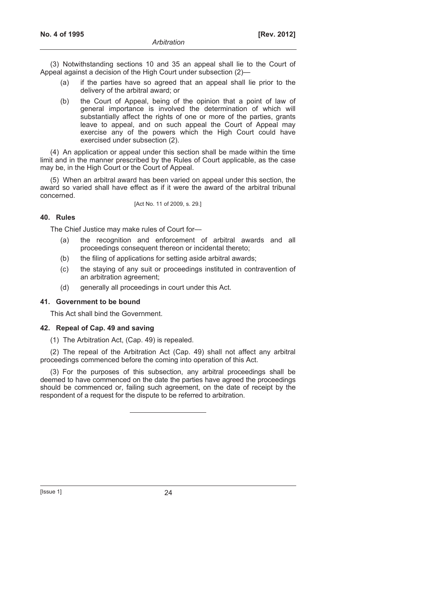(3) Notwithstanding sections 10 and 35 an appeal shall lie to the Court of Appeal against a decision of the High Court under subsection (2)—

- (a) if the parties have so agreed that an appeal shall lie prior to the delivery of the arbitral award; or
- (b) the Court of Appeal, being of the opinion that a point of law of general importance is involved the determination of which will substantially affect the rights of one or more of the parties, grants leave to appeal, and on such appeal the Court of Appeal may exercise any of the powers which the High Court could have exercised under subsection (2).

(4) An application or appeal under this section shall be made within the time limit and in the manner prescribed by the Rules of Court applicable, as the case may be, in the High Court or the Court of Appeal.

(5) When an arbitral award has been varied on appeal under this section, the award so varied shall have effect as if it were the award of the arbitral tribunal concerned.

[Act No. 11 of 2009, s. 29.]

# **40. Rules**

The Chief Justice may make rules of Court for—

- (a) the recognition and enforcement of arbitral awards and all proceedings consequent thereon or incidental thereto;
- (b) the filing of applications for setting aside arbitral awards;
- (c) the staying of any suit or proceedings instituted in contravention of an arbitration agreement;
- (d) generally all proceedings in court under this Act.

# **41. Government to be bound**

This Act shall bind the Government.

# **42. Repeal of Cap. 49 and saving**

(1) The Arbitration Act, (Cap. 49) is repealed.

(2) The repeal of the Arbitration Act (Cap. 49) shall not affect any arbitral proceedings commenced before the coming into operation of this Act.

(3) For the purposes of this subsection, any arbitral proceedings shall be deemed to have commenced on the date the parties have agreed the proceedings should be commenced or, failing such agreement, on the date of receipt by the respondent of a request for the dispute to be referred to arbitration.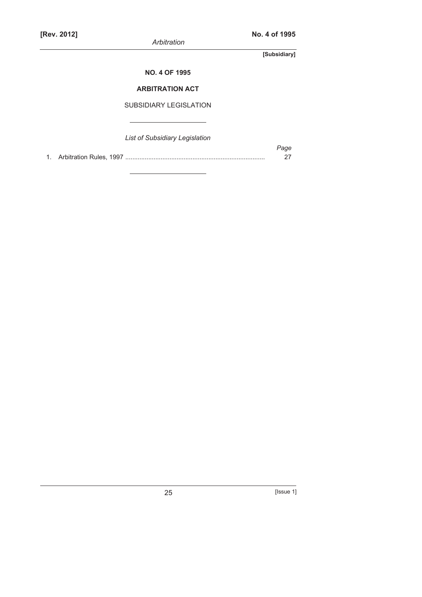**[Subsidiary]** 

**NO. 4 OF 1995** 

# **ARBITRATION ACT**

SUBSIDIARY LEGISLATION

| <b>List of Subsidiary Legislation</b> |      |
|---------------------------------------|------|
|                                       | Page |
|                                       |      |